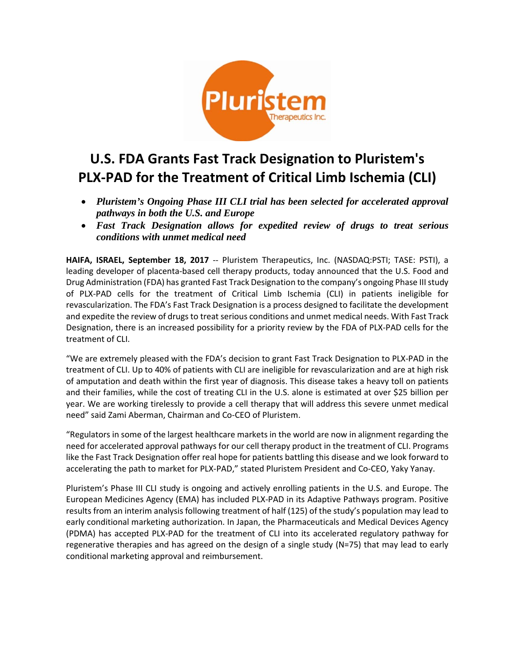

# **U.S. FDA Grants Fast Track Designation to Pluristem's PLX-PAD for the Treatment of Critical Limb Ischemia (CLI)**

- *Pluristem's Ongoing Phase III CLI trial has been selected for accelerated approval pathways in both the U.S. and Europe*
- *Fast Track Designation allows for expedited review of drugs to treat serious conditions with unmet medical need*

**HAIFA, ISRAEL, September 18, 2017** -- [Pluristem Therapeutics, Inc.](http://www.pluristem.com/) (NASDAQ:PSTI; TASE: PSTI), a leading developer of placenta-based cell therapy products, today announced that the U.S. Food and Drug Administration (FDA) has granted Fast Track Designation to the company's ongoing Phase III study of PLX-PAD cells for the treatment of Critical Limb Ischemia (CLI) in patients ineligible for revascularization. The FDA's Fast Track Designation is a process designed to facilitate the development and expedite the review of drugs to treat serious conditions and unmet medical needs. With Fast Track Designation, there is an increased possibility for a priority review by the FDA of PLX-PAD cells for the treatment of CLI.

"We are extremely pleased with the FDA's decision to grant Fast Track Designation to PLX-PAD in the treatment of CLI. Up to 40% of patients with CLI are ineligible for revascularization and are at high risk of amputation and death within the first year of diagnosis. This disease takes a heavy toll on patients and their families, while the cost of treating CLI in the U.S. alone is estimated at over \$25 billion per year. We are working tirelessly to provide a cell therapy that will address this severe unmet medical need" said Zami Aberman, Chairman and Co-CEO of Pluristem.

"Regulators in some of the largest healthcare markets in the world are now in alignment regarding the need for accelerated approval pathways for our cell therapy product in the treatment of CLI. Programs like the Fast Track Designation offer real hope for patients battling this disease and we look forward to accelerating the path to market for PLX-PAD," stated Pluristem President and Co-CEO, Yaky Yanay.

Pluristem's Phase III CLI study is ongoing and actively enrolling patients in the U.S. and Europe. The European Medicines Agency (EMA) has included PLX-PAD in its Adaptive Pathways program. Positive results from an interim analysis following treatment of half (125) of the study's population may lead to early conditional marketing authorization. In Japan, the Pharmaceuticals and Medical Devices Agency (PDMA) has accepted PLX-PAD for the treatment of CLI into its accelerated regulatory pathway for regenerative therapies and has agreed on the design of a single study (N=75) that may lead to early conditional marketing approval and reimbursement.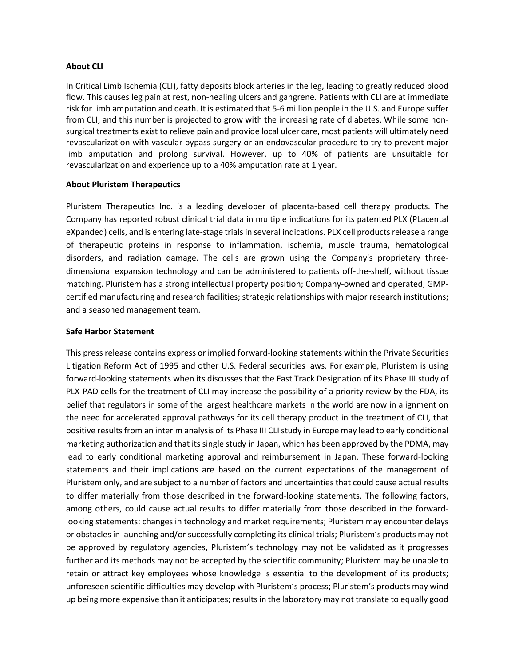## **About CLI**

In Critical Limb Ischemia (CLI), fatty deposits block arteries in the leg, leading to greatly reduced blood flow. This causes leg pain at rest, non-healing ulcers and gangrene. Patients with CLI are at immediate risk for limb amputation and death. It is estimated that 5-6 million people in the U.S. and Europe suffer from CLI, and this number is projected to grow with the increasing rate of diabetes. While some nonsurgical treatments exist to relieve pain and provide local ulcer care, most patients will ultimately need revascularization with vascular bypass surgery or an endovascular procedure to try to prevent major limb amputation and prolong survival. However, up to 40% of patients are unsuitable for revascularization and experience up to a 40% amputation rate at 1 year.

## **About Pluristem Therapeutics**

Pluristem Therapeutics Inc. is a leading developer of placenta-based cell therapy products. The Company has reported robust clinical trial data in multiple indications for its patented PLX (PLacental eXpanded) cells, and is entering late-stage trials in several indications. PLX cell products release a range of therapeutic proteins in response to inflammation, ischemia, muscle trauma, hematological disorders, and radiation damage. The cells are grown using the Company's proprietary threedimensional expansion technology and can be administered to patients off-the-shelf, without tissue matching. Pluristem has a strong intellectual property position; Company-owned and operated, GMPcertified manufacturing and research facilities; strategic relationships with major research institutions; and a seasoned management team.

## **Safe Harbor Statement**

This press release contains express or implied forward-looking statements within the Private Securities Litigation Reform Act of 1995 and other U.S. Federal securities laws. For example, Pluristem is using forward-looking statements when its discusses that the Fast Track Designation of its Phase III study of PLX-PAD cells for the treatment of CLI may increase the possibility of a priority review by the FDA, its belief that regulators in some of the largest healthcare markets in the world are now in alignment on the need for accelerated approval pathways for its cell therapy product in the treatment of CLI, that positive results from an interim analysis of its Phase III CLI study in Europe may lead to early conditional marketing authorization and that its single study in Japan, which has been approved by the PDMA, may lead to early conditional marketing approval and reimbursement in Japan. These forward-looking statements and their implications are based on the current expectations of the management of Pluristem only, and are subject to a number of factors and uncertainties that could cause actual results to differ materially from those described in the forward-looking statements. The following factors, among others, could cause actual results to differ materially from those described in the forwardlooking statements: changes in technology and market requirements; Pluristem may encounter delays or obstacles in launching and/or successfully completing its clinical trials; Pluristem's products may not be approved by regulatory agencies, Pluristem's technology may not be validated as it progresses further and its methods may not be accepted by the scientific community; Pluristem may be unable to retain or attract key employees whose knowledge is essential to the development of its products; unforeseen scientific difficulties may develop with Pluristem's process; Pluristem's products may wind up being more expensive than it anticipates; results in the laboratory may not translate to equally good